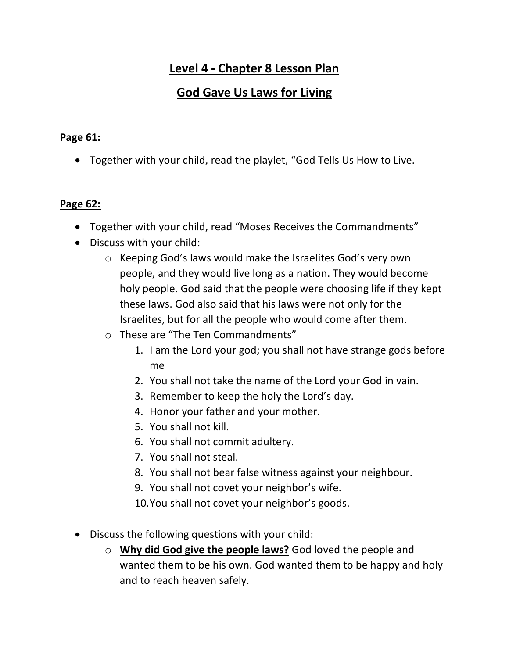# **Level 4 - Chapter 8 Lesson Plan**

## **God Gave Us Laws for Living**

#### **Page 61:**

• Together with your child, read the playlet, "God Tells Us How to Live.

#### **Page 62:**

- Together with your child, read "Moses Receives the Commandments"
- Discuss with your child:
	- o Keeping God's laws would make the Israelites God's very own people, and they would live long as a nation. They would become holy people. God said that the people were choosing life if they kept these laws. God also said that his laws were not only for the Israelites, but for all the people who would come after them.
	- o These are "The Ten Commandments"
		- 1. I am the Lord your god; you shall not have strange gods before me
		- 2. You shall not take the name of the Lord your God in vain.
		- 3. Remember to keep the holy the Lord's day.
		- 4. Honor your father and your mother.
		- 5. You shall not kill.
		- 6. You shall not commit adultery.
		- 7. You shall not steal.
		- 8. You shall not bear false witness against your neighbour.
		- 9. You shall not covet your neighbor's wife.
		- 10.You shall not covet your neighbor's goods.
- Discuss the following questions with your child:
	- o **Why did God give the people laws?** God loved the people and wanted them to be his own. God wanted them to be happy and holy and to reach heaven safely.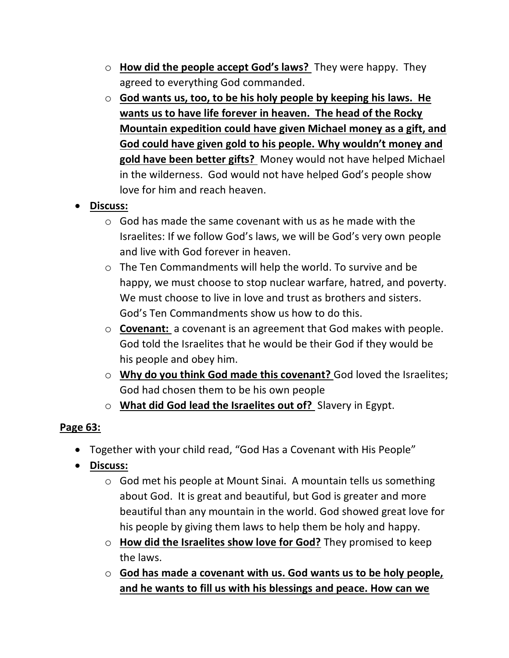- o **How did the people accept God's laws?** They were happy. They agreed to everything God commanded.
- o **God wants us, too, to be his holy people by keeping his laws. He wants us to have life forever in heaven. The head of the Rocky Mountain expedition could have given Michael money as a gift, and God could have given gold to his people. Why wouldn't money and gold have been better gifts?** Money would not have helped Michael in the wilderness. God would not have helped God's people show love for him and reach heaven.
- **Discuss:**
	- $\circ$  God has made the same covenant with us as he made with the Israelites: If we follow God's laws, we will be God's very own people and live with God forever in heaven.
	- o The Ten Commandments will help the world. To survive and be happy, we must choose to stop nuclear warfare, hatred, and poverty. We must choose to live in love and trust as brothers and sisters. God's Ten Commandments show us how to do this.
	- o **Covenant:** a covenant is an agreement that God makes with people. God told the Israelites that he would be their God if they would be his people and obey him.
	- o **Why do you think God made this covenant?** God loved the Israelites; God had chosen them to be his own people
	- o **What did God lead the Israelites out of?** Slavery in Egypt.

### **Page 63:**

- Together with your child read, "God Has a Covenant with His People"
- **Discuss:**
	- o God met his people at Mount Sinai. A mountain tells us something about God. It is great and beautiful, but God is greater and more beautiful than any mountain in the world. God showed great love for his people by giving them laws to help them be holy and happy.
	- o **How did the Israelites show love for God?** They promised to keep the laws.
	- o **God has made a covenant with us. God wants us to be holy people, and he wants to fill us with his blessings and peace. How can we**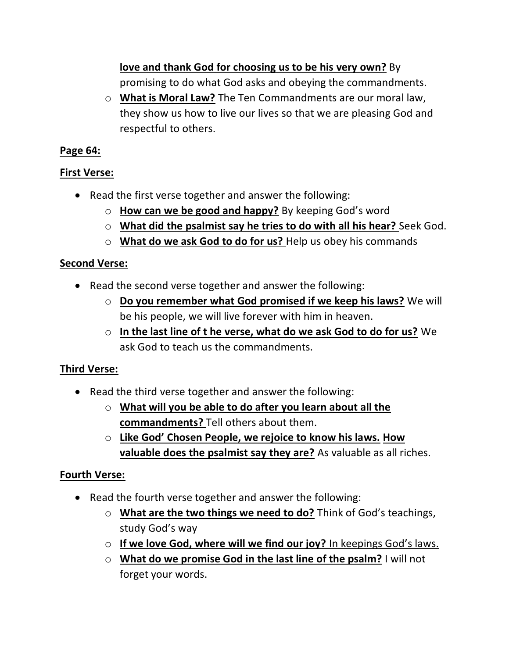**love and thank God for choosing us to be his very own?** By promising to do what God asks and obeying the commandments.

o **What is Moral Law?** The Ten Commandments are our moral law, they show us how to live our lives so that we are pleasing God and respectful to others.

### **Page 64:**

### **First Verse:**

- Read the first verse together and answer the following:
	- o **How can we be good and happy?** By keeping God's word
	- o **What did the psalmist say he tries to do with all his hear?** Seek God.
	- o **What do we ask God to do for us?** Help us obey his commands

#### **Second Verse:**

- Read the second verse together and answer the following:
	- o **Do you remember what God promised if we keep his laws?** We will be his people, we will live forever with him in heaven.
	- o **In the last line of t he verse, what do we ask God to do for us?** We ask God to teach us the commandments.

### **Third Verse:**

- Read the third verse together and answer the following:
	- o **What will you be able to do after you learn about all the commandments?** Tell others about them.
	- o **Like God' Chosen People, we rejoice to know his laws. How valuable does the psalmist say they are?** As valuable as all riches.

### **Fourth Verse:**

- Read the fourth verse together and answer the following:
	- o **What are the two things we need to do?** Think of God's teachings, study God's way
	- o **If we love God, where will we find our joy?** In keepings God's laws.
	- o **What do we promise God in the last line of the psalm?** I will not forget your words.